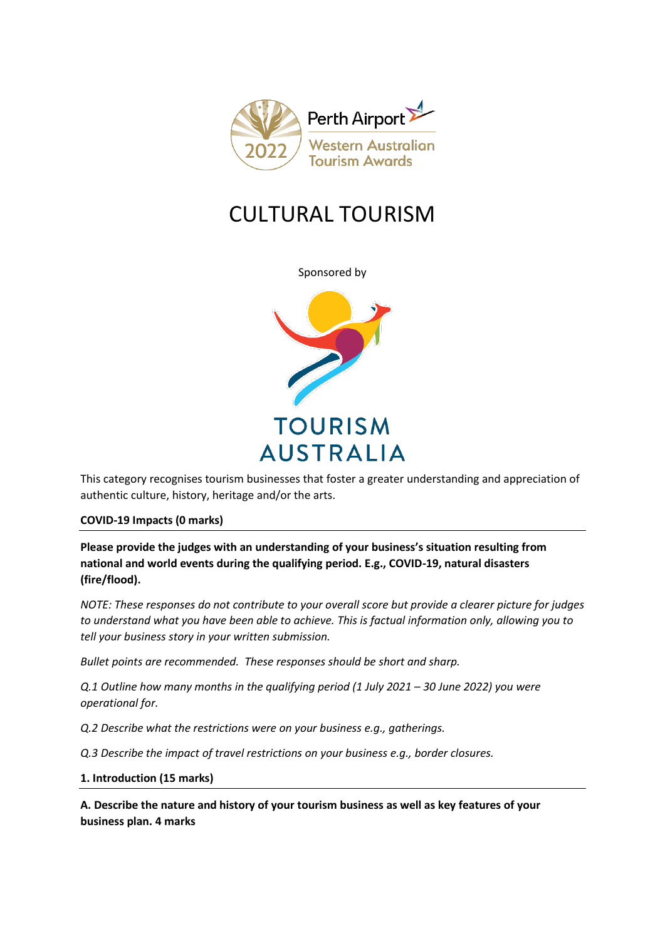

# CULTURAL TOURISM

Sponsored by



This category recognises tourism businesses that foster a greater understanding and appreciation of authentic culture, history, heritage and/or the arts.

## **COVID-19 Impacts (0 marks)**

**Please provide the judges with an understanding of your business's situation resulting from national and world events during the qualifying period. E.g., COVID-19, natural disasters (fire/flood).**

*NOTE: These responses do not contribute to your overall score but provide a clearer picture for judges to understand what you have been able to achieve. This is factual information only, allowing you to tell your business story in your written submission.* 

*Bullet points are recommended. These responses should be short and sharp.*

*Q.1 Outline how many months in the qualifying period (1 July 2021 – 30 June 2022) you were operational for.*

*Q.2 Describe what the restrictions were on your business e.g., gatherings.*

*Q.3 Describe the impact of travel restrictions on your business e.g., border closures.*

## **1. Introduction (15 marks)**

**A. Describe the nature and history of your tourism business as well as key features of your business plan. 4 marks**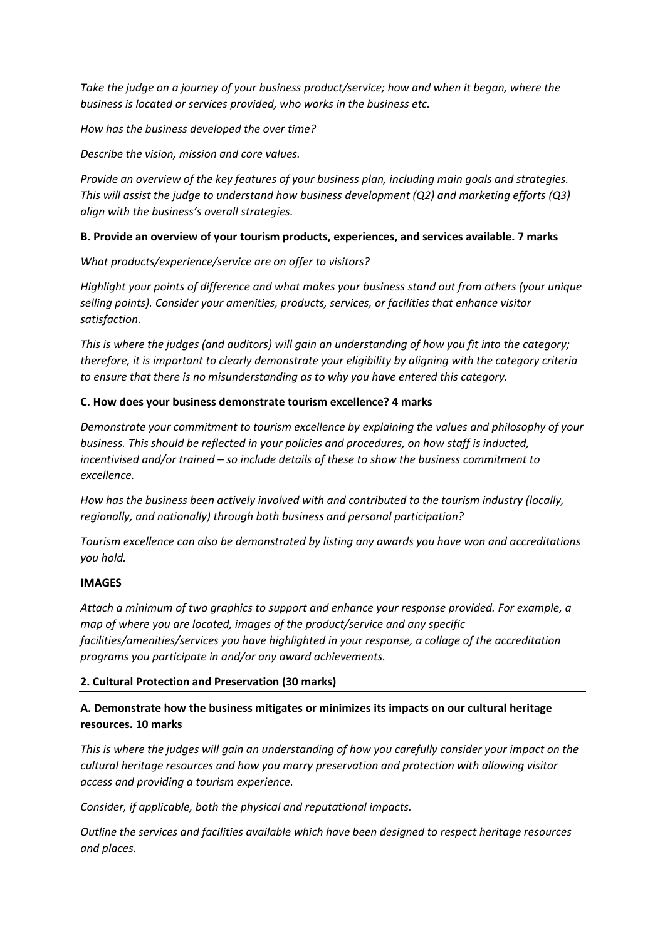*Take the judge on a journey of your business product/service; how and when it began, where the business is located or services provided, who works in the business etc.*

## *How has the business developed the over time?*

*Describe the vision, mission and core values.* 

*Provide an overview of the key features of your business plan, including main goals and strategies. This will assist the judge to understand how business development (Q2) and marketing efforts (Q3) align with the business's overall strategies.* 

## **B. Provide an overview of your tourism products, experiences, and services available. 7 marks**

*What products/experience/service are on offer to visitors?*

*Highlight your points of difference and what makes your business stand out from others (your unique selling points). Consider your amenities, products, services, or facilities that enhance visitor satisfaction.*

*This is where the judges (and auditors) will gain an understanding of how you fit into the category; therefore, it is important to clearly demonstrate your eligibility by aligning with the category criteria to ensure that there is no misunderstanding as to why you have entered this category.*

## **C. How does your business demonstrate tourism excellence? 4 marks**

*Demonstrate your commitment to tourism excellence by explaining the values and philosophy of your business. This should be reflected in your policies and procedures, on how staff is inducted, incentivised and/or trained – so include details of these to show the business commitment to excellence.*

*How has the business been actively involved with and contributed to the tourism industry (locally, regionally, and nationally) through both business and personal participation?*

*Tourism excellence can also be demonstrated by listing any awards you have won and accreditations you hold.* 

## **IMAGES**

*Attach a minimum of two graphics to support and enhance your response provided. For example, a map of where you are located, images of the product/service and any specific facilities/amenities/services you have highlighted in your response, a collage of the accreditation programs you participate in and/or any award achievements.* 

## **2. Cultural Protection and Preservation (30 marks)**

# **A. Demonstrate how the business mitigates or minimizes its impacts on our cultural heritage resources. 10 marks**

*This is where the judges will gain an understanding of how you carefully consider your impact on the cultural heritage resources and how you marry preservation and protection with allowing visitor access and providing a tourism experience.* 

*Consider, if applicable, both the physical and reputational impacts.*

*Outline the services and facilities available which have been designed to respect heritage resources and places.*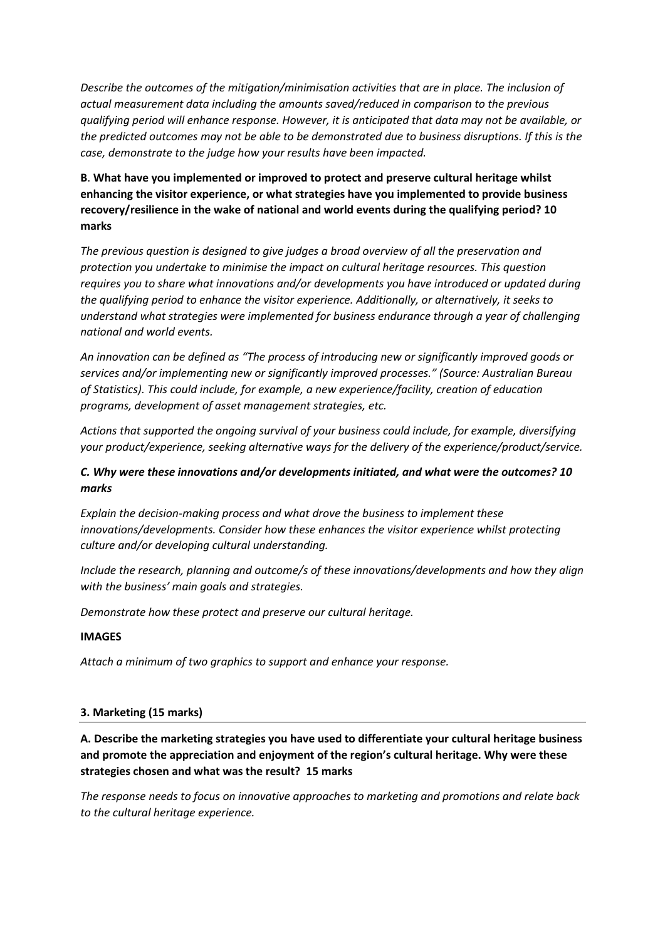*Describe the outcomes of the mitigation/minimisation activities that are in place. The inclusion of actual measurement data including the amounts saved/reduced in comparison to the previous qualifying period will enhance response. However, it is anticipated that data may not be available, or the predicted outcomes may not be able to be demonstrated due to business disruptions. If this is the case, demonstrate to the judge how your results have been impacted.* 

# **B**. **What have you implemented or improved to protect and preserve cultural heritage whilst enhancing the visitor experience, or what strategies have you implemented to provide business recovery/resilience in the wake of national and world events during the qualifying period? 10 marks**

*The previous question is designed to give judges a broad overview of all the preservation and protection you undertake to minimise the impact on cultural heritage resources. This question requires you to share what innovations and/or developments you have introduced or updated during the qualifying period to enhance the visitor experience. Additionally, or alternatively, it seeks to understand what strategies were implemented for business endurance through a year of challenging national and world events.* 

*An innovation can be defined as "The process of introducing new or significantly improved goods or services and/or implementing new or significantly improved processes." (Source: Australian Bureau of Statistics). This could include, for example, a new experience/facility, creation of education programs, development of asset management strategies, etc.*

*Actions that supported the ongoing survival of your business could include, for example, diversifying your product/experience, seeking alternative ways for the delivery of the experience/product/service.* 

# *C. Why were these innovations and/or developments initiated, and what were the outcomes? 10 marks*

*Explain the decision-making process and what drove the business to implement these innovations/developments. Consider how these enhances the visitor experience whilst protecting culture and/or developing cultural understanding.* 

*Include the research, planning and outcome/s of these innovations/developments and how they align with the business' main goals and strategies.*

*Demonstrate how these protect and preserve our cultural heritage.*

## **IMAGES**

*Attach a minimum of two graphics to support and enhance your response.* 

## **3. Marketing (15 marks)**

# **A. Describe the marketing strategies you have used to differentiate your cultural heritage business and promote the appreciation and enjoyment of the region's cultural heritage. Why were these strategies chosen and what was the result? 15 marks**

*The response needs to focus on innovative approaches to marketing and promotions and relate back to the cultural heritage experience.*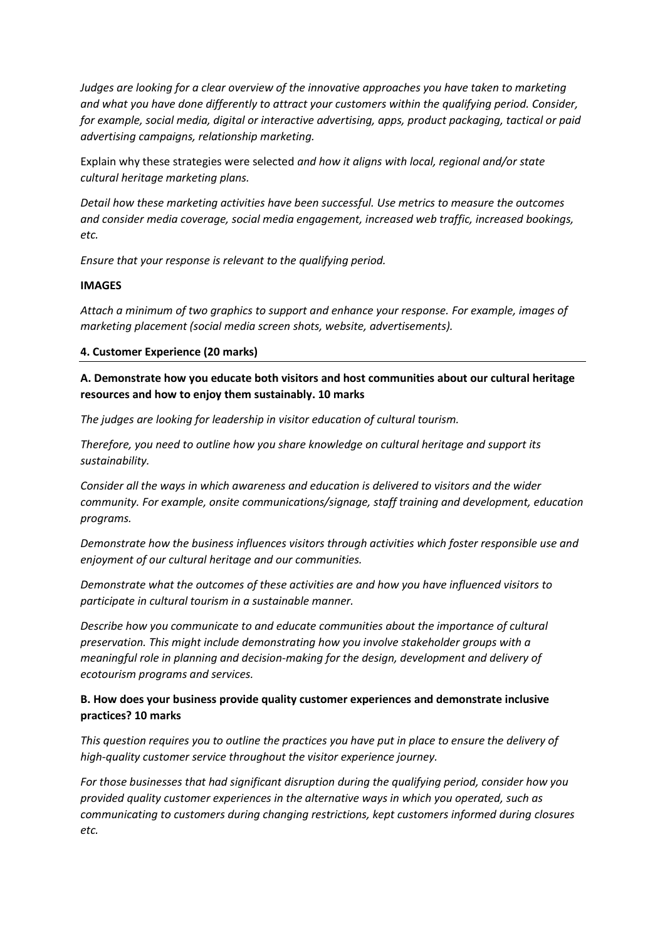*Judges are looking for a clear overview of the innovative approaches you have taken to marketing and what you have done differently to attract your customers within the qualifying period. Consider, for example, social media, digital or interactive advertising, apps, product packaging, tactical or paid advertising campaigns, relationship marketing.*

Explain why these strategies were selected *and how it aligns with local, regional and/or state cultural heritage marketing plans.* 

*Detail how these marketing activities have been successful. Use metrics to measure the outcomes and consider media coverage, social media engagement, increased web traffic, increased bookings, etc.* 

*Ensure that your response is relevant to the qualifying period.*

## **IMAGES**

*Attach a minimum of two graphics to support and enhance your response. For example, images of marketing placement (social media screen shots, website, advertisements).*

#### **4. Customer Experience (20 marks)**

**A. Demonstrate how you educate both visitors and host communities about our cultural heritage resources and how to enjoy them sustainably. 10 marks**

*The judges are looking for leadership in visitor education of cultural tourism.* 

*Therefore, you need to outline how you share knowledge on cultural heritage and support its sustainability.* 

*Consider all the ways in which awareness and education is delivered to visitors and the wider community. For example, onsite communications/signage, staff training and development, education programs.* 

*Demonstrate how the business influences visitors through activities which foster responsible use and enjoyment of our cultural heritage and our communities.*

*Demonstrate what the outcomes of these activities are and how you have influenced visitors to participate in cultural tourism in a sustainable manner.* 

*Describe how you communicate to and educate communities about the importance of cultural preservation. This might include demonstrating how you involve stakeholder groups with a meaningful role in planning and decision-making for the design, development and delivery of ecotourism programs and services.*

# **B. How does your business provide quality customer experiences and demonstrate inclusive practices? 10 marks**

*This question requires you to outline the practices you have put in place to ensure the delivery of high-quality customer service throughout the visitor experience journey.*

*For those businesses that had significant disruption during the qualifying period, consider how you provided quality customer experiences in the alternative ways in which you operated, such as communicating to customers during changing restrictions, kept customers informed during closures etc.*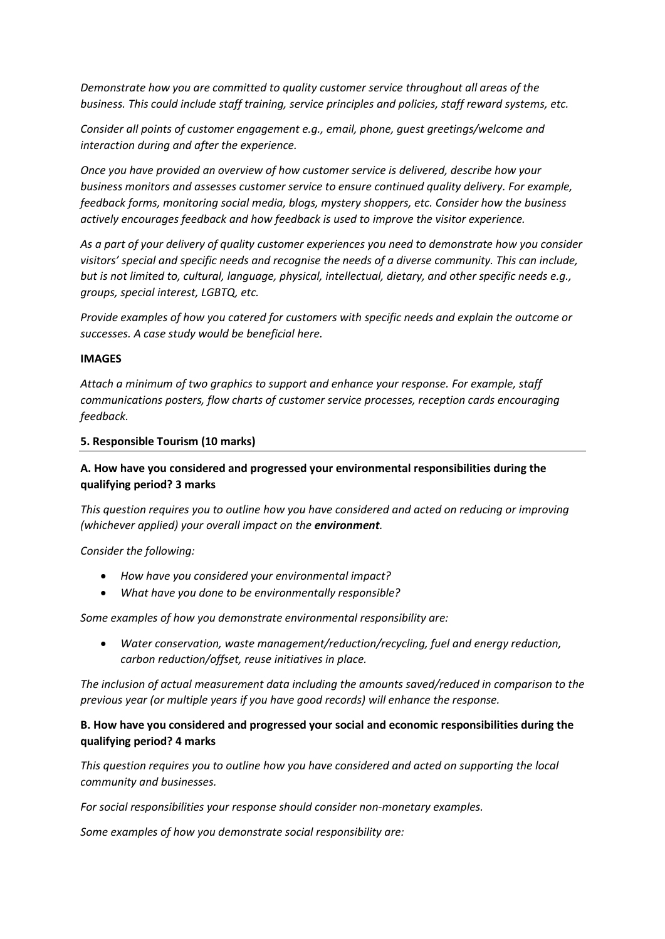*Demonstrate how you are committed to quality customer service throughout all areas of the business. This could include staff training, service principles and policies, staff reward systems, etc.* 

*Consider all points of customer engagement e.g., email, phone, guest greetings/welcome and interaction during and after the experience.*

*Once you have provided an overview of how customer service is delivered, describe how your business monitors and assesses customer service to ensure continued quality delivery. For example, feedback forms, monitoring social media, blogs, mystery shoppers, etc. Consider how the business actively encourages feedback and how feedback is used to improve the visitor experience.* 

*As a part of your delivery of quality customer experiences you need to demonstrate how you consider visitors' special and specific needs and recognise the needs of a diverse community. This can include, but is not limited to, cultural, language, physical, intellectual, dietary, and other specific needs e.g., groups, special interest, LGBTQ, etc.*

*Provide examples of how you catered for customers with specific needs and explain the outcome or successes. A case study would be beneficial here.* 

#### **IMAGES**

*Attach a minimum of two graphics to support and enhance your response. For example, staff communications posters, flow charts of customer service processes, reception cards encouraging feedback.* 

#### **5. Responsible Tourism (10 marks)**

# **A. How have you considered and progressed your environmental responsibilities during the qualifying period? 3 marks**

*This question requires you to outline how you have considered and acted on reducing or improving (whichever applied) your overall impact on the environment.* 

## *Consider the following:*

- *How have you considered your environmental impact?*
- *What have you done to be environmentally responsible?*

*Some examples of how you demonstrate environmental responsibility are:*

• *Water conservation, waste management/reduction/recycling, fuel and energy reduction, carbon reduction/offset, reuse initiatives in place.*

*The inclusion of actual measurement data including the amounts saved/reduced in comparison to the previous year (or multiple years if you have good records) will enhance the response.*

## **B. How have you considered and progressed your social and economic responsibilities during the qualifying period? 4 marks**

*This question requires you to outline how you have considered and acted on supporting the local community and businesses.* 

*For social responsibilities your response should consider non-monetary examples.*

*Some examples of how you demonstrate social responsibility are:*